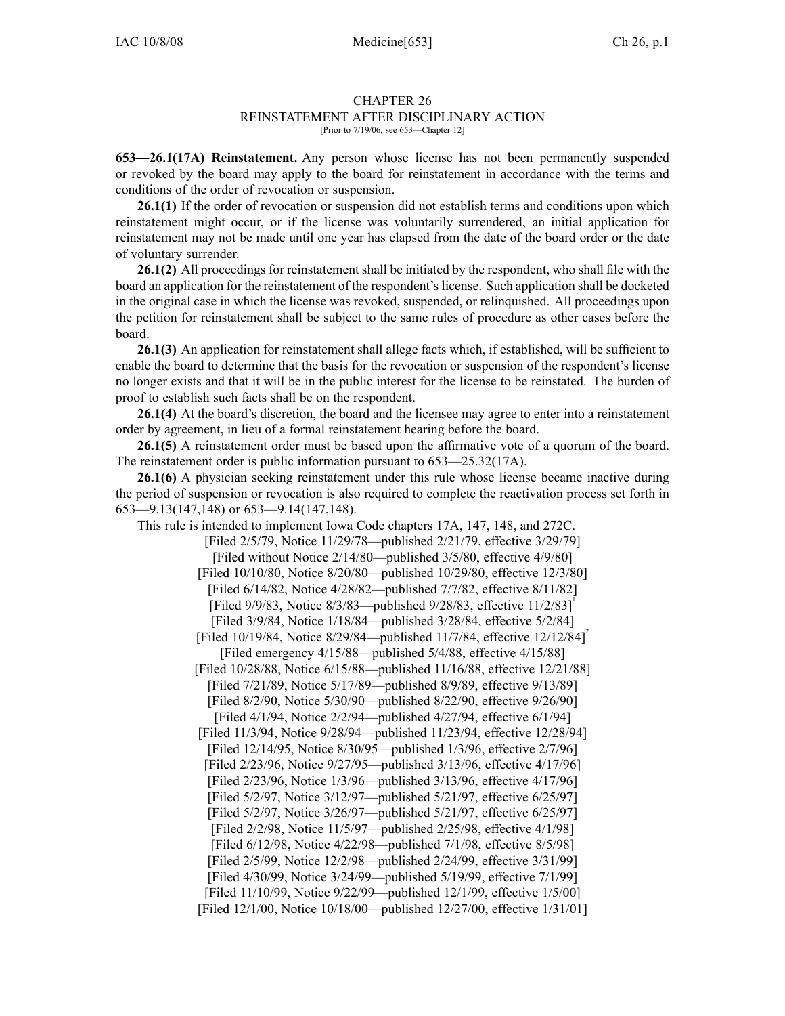## CHAPTER 26

## REINSTATEMENT AFTER DISCIPLINARY ACTION

[Prior to 7/19/06, see 653—Chapter 12]

**653—26.1(17A) Reinstatement.** Any person whose license has not been permanently suspended or revoked by the board may apply to the board for reinstatement in accordance with the terms and conditions of the order of revocation or suspension.

**26.1(1)** If the order of revocation or suspension did not establish terms and conditions upon which reinstatement might occur, or if the license was voluntarily surrendered, an initial application for reinstatement may not be made until one year has elapsed from the date of the board order or the date of voluntary surrender.

**26.1(2)** All proceedings for reinstatement shall be initiated by the respondent, who shall file with the board an application for the reinstatement of the respondent'slicense. Such application shall be docketed in the original case in which the license was revoked, suspended, or relinquished. All proceedings upon the petition for reinstatement shall be subject to the same rules of procedure as other cases before the board.

**26.1(3)** An application for reinstatement shall allege facts which, if established, will be sufficient to enable the board to determine that the basis for the revocation or suspension of the respondent's license no longer exists and that it will be in the public interest for the license to be reinstated. The burden of proof to establish such facts shall be on the respondent.

**26.1(4)** At the board's discretion, the board and the licensee may agree to enter into <sup>a</sup> reinstatement order by agreement, in lieu of <sup>a</sup> formal reinstatement hearing before the board.

**26.1(5)** A reinstatement order must be based upon the affirmative vote of <sup>a</sup> quorum of the board. The reinstatement order is public information pursuan<sup>t</sup> to 653—25.32(17A).

**26.1(6)** A physician seeking reinstatement under this rule whose license became inactive during the period of suspension or revocation is also required to complete the reactivation process set forth in 653—9.13(147,148) or 653—9.14(147,148).

This rule is intended to implement Iowa Code chapters 17A, 147, 148, and 272C. [Filed 2/5/79, Notice 11/29/78—published 2/21/79, effective 3/29/79] [Filed without Notice 2/14/80—published 3/5/80, effective 4/9/80] [Filed 10/10/80, Notice 8/20/80—published 10/29/80, effective 12/3/80] [Filed 6/14/82, Notice 4/28/82—published 7/7/82, effective 8/11/82] [Filed 9/9/83, Notice 8/3/83—published 9/28/83, effective 11/2/83] [Filed 3/9/84, Notice 1/18/84—published 3/28/84, effective 5/2/84] [Filed 10/19/84, Notice 8/29/84—published 11/7/84, effective 12/12/84]<sup>2</sup> [Filed emergency 4/15/88—published 5/4/88, effective 4/15/88] [Filed 10/28/88, Notice 6/15/88—published 11/16/88, effective 12/21/88] [Filed 7/21/89, Notice 5/17/89—published 8/9/89, effective 9/13/89] [Filed 8/2/90, Notice 5/30/90—published 8/22/90, effective 9/26/90] [Filed 4/1/94, Notice 2/2/94—published 4/27/94, effective 6/1/94] [Filed 11/3/94, Notice 9/28/94—published 11/23/94, effective 12/28/94] [Filed 12/14/95, Notice 8/30/95—published 1/3/96, effective 2/7/96] [Filed 2/23/96, Notice 9/27/95—published 3/13/96, effective 4/17/96] [Filed 2/23/96, Notice 1/3/96—published 3/13/96, effective 4/17/96] [Filed 5/2/97, Notice 3/12/97—published 5/21/97, effective 6/25/97] [Filed 5/2/97, Notice 3/26/97—published 5/21/97, effective 6/25/97] [Filed 2/2/98, Notice 11/5/97—published 2/25/98, effective 4/1/98] [Filed 6/12/98, Notice 4/22/98—published 7/1/98, effective 8/5/98] [Filed 2/5/99, Notice 12/2/98—published 2/24/99, effective 3/31/99] [Filed 4/30/99, Notice 3/24/99—published 5/19/99, effective 7/1/99] [Filed 11/10/99, Notice 9/22/99—published 12/1/99, effective 1/5/00] [Filed 12/1/00, Notice 10/18/00—published 12/27/00, effective 1/31/01]